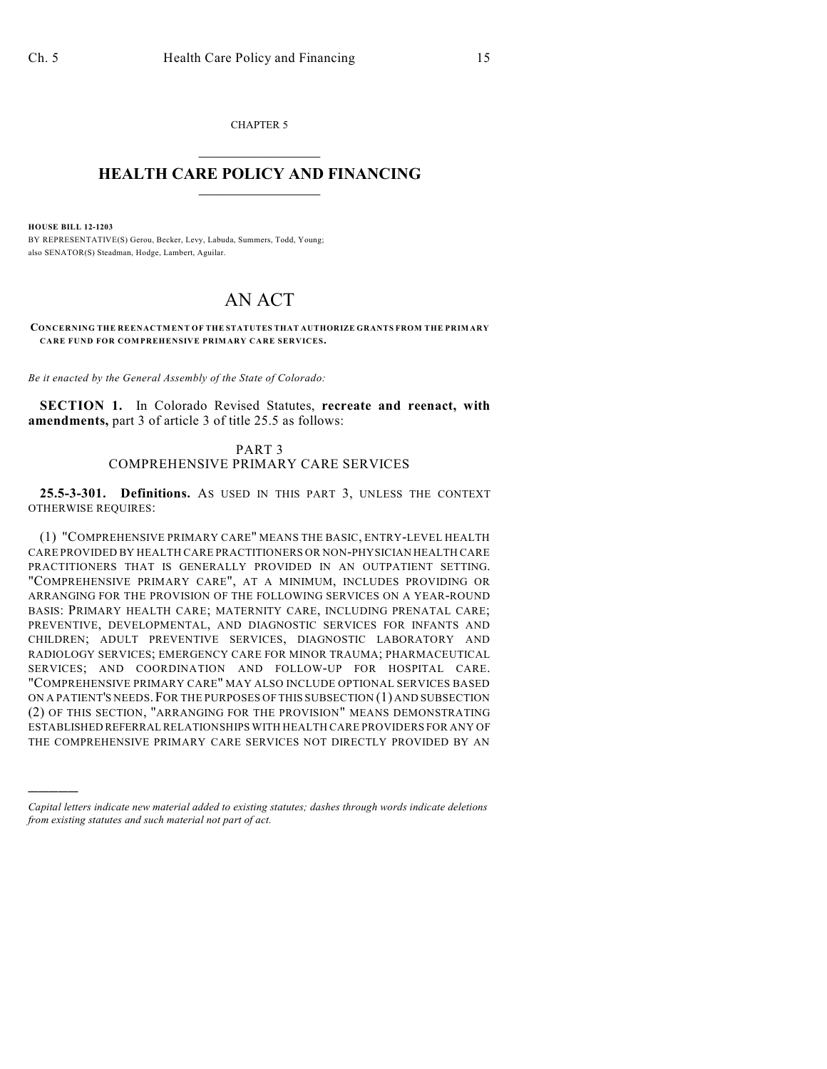CHAPTER 5  $\mathcal{L}_\text{max}$  . The set of the set of the set of the set of the set of the set of the set of the set of the set of the set of the set of the set of the set of the set of the set of the set of the set of the set of the set

## **HEALTH CARE POLICY AND FINANCING**  $\_$   $\_$   $\_$   $\_$   $\_$   $\_$   $\_$   $\_$

**HOUSE BILL 12-1203**

)))))

BY REPRESENTATIVE(S) Gerou, Becker, Levy, Labuda, Summers, Todd, Young; also SENATOR(S) Steadman, Hodge, Lambert, Aguilar.

## AN ACT

**CONCERNING THE REENACTMENT OF THE STATUTES THAT AUTHORIZE GRANTS FROM THE PRIMARY CARE FUND FOR COMPREHENSIVE PRIMARY CARE SERVICES.**

*Be it enacted by the General Assembly of the State of Colorado:*

**SECTION 1.** In Colorado Revised Statutes, **recreate and reenact, with amendments,** part 3 of article 3 of title 25.5 as follows:

> PART 3 COMPREHENSIVE PRIMARY CARE SERVICES

**25.5-3-301. Definitions.** AS USED IN THIS PART 3, UNLESS THE CONTEXT OTHERWISE REQUIRES:

(1) "COMPREHENSIVE PRIMARY CARE" MEANS THE BASIC, ENTRY-LEVEL HEALTH CARE PROVIDED BY HEALTH CARE PRACTITIONERS OR NON-PHYSICIAN HEALTH CARE PRACTITIONERS THAT IS GENERALLY PROVIDED IN AN OUTPATIENT SETTING. "COMPREHENSIVE PRIMARY CARE", AT A MINIMUM, INCLUDES PROVIDING OR ARRANGING FOR THE PROVISION OF THE FOLLOWING SERVICES ON A YEAR-ROUND BASIS: PRIMARY HEALTH CARE; MATERNITY CARE, INCLUDING PRENATAL CARE; PREVENTIVE, DEVELOPMENTAL, AND DIAGNOSTIC SERVICES FOR INFANTS AND CHILDREN; ADULT PREVENTIVE SERVICES, DIAGNOSTIC LABORATORY AND RADIOLOGY SERVICES; EMERGENCY CARE FOR MINOR TRAUMA; PHARMACEUTICAL SERVICES; AND COORDINATION AND FOLLOW-UP FOR HOSPITAL CARE. "COMPREHENSIVE PRIMARY CARE" MAY ALSO INCLUDE OPTIONAL SERVICES BASED ON A PATIENT'S NEEDS. FOR THE PURPOSES OF THIS SUBSECTION (1) AND SUBSECTION (2) OF THIS SECTION, "ARRANGING FOR THE PROVISION" MEANS DEMONSTRATING ESTABLISHED REFERRAL RELATIONSHIPS WITH HEALTH CARE PROVIDERS FOR ANY OF THE COMPREHENSIVE PRIMARY CARE SERVICES NOT DIRECTLY PROVIDED BY AN

*Capital letters indicate new material added to existing statutes; dashes through words indicate deletions from existing statutes and such material not part of act.*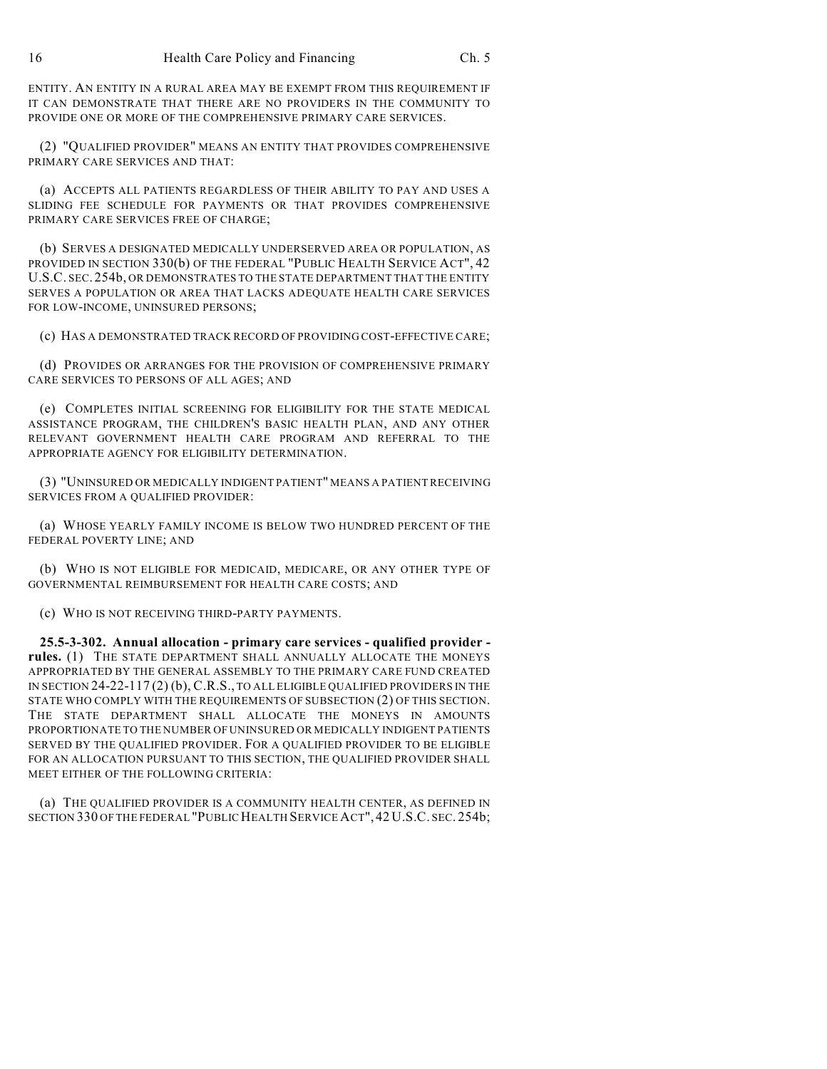ENTITY. AN ENTITY IN A RURAL AREA MAY BE EXEMPT FROM THIS REQUIREMENT IF IT CAN DEMONSTRATE THAT THERE ARE NO PROVIDERS IN THE COMMUNITY TO PROVIDE ONE OR MORE OF THE COMPREHENSIVE PRIMARY CARE SERVICES.

(2) "QUALIFIED PROVIDER" MEANS AN ENTITY THAT PROVIDES COMPREHENSIVE PRIMARY CARE SERVICES AND THAT:

(a) ACCEPTS ALL PATIENTS REGARDLESS OF THEIR ABILITY TO PAY AND USES A SLIDING FEE SCHEDULE FOR PAYMENTS OR THAT PROVIDES COMPREHENSIVE PRIMARY CARE SERVICES FREE OF CHARGE;

(b) SERVES A DESIGNATED MEDICALLY UNDERSERVED AREA OR POPULATION, AS PROVIDED IN SECTION 330(b) OF THE FEDERAL "PUBLIC HEALTH SERVICE ACT", 42 U.S.C. SEC. 254b, OR DEMONSTRATES TO THE STATE DEPARTMENT THAT THE ENTITY SERVES A POPULATION OR AREA THAT LACKS ADEQUATE HEALTH CARE SERVICES FOR LOW-INCOME, UNINSURED PERSONS;

(c) HAS A DEMONSTRATED TRACK RECORD OF PROVIDING COST-EFFECTIVE CARE;

(d) PROVIDES OR ARRANGES FOR THE PROVISION OF COMPREHENSIVE PRIMARY CARE SERVICES TO PERSONS OF ALL AGES; AND

(e) COMPLETES INITIAL SCREENING FOR ELIGIBILITY FOR THE STATE MEDICAL ASSISTANCE PROGRAM, THE CHILDREN'S BASIC HEALTH PLAN, AND ANY OTHER RELEVANT GOVERNMENT HEALTH CARE PROGRAM AND REFERRAL TO THE APPROPRIATE AGENCY FOR ELIGIBILITY DETERMINATION.

(3) "UNINSURED OR MEDICALLY INDIGENT PATIENT" MEANS A PATIENT RECEIVING SERVICES FROM A QUALIFIED PROVIDER:

(a) WHOSE YEARLY FAMILY INCOME IS BELOW TWO HUNDRED PERCENT OF THE FEDERAL POVERTY LINE; AND

(b) WHO IS NOT ELIGIBLE FOR MEDICAID, MEDICARE, OR ANY OTHER TYPE OF GOVERNMENTAL REIMBURSEMENT FOR HEALTH CARE COSTS; AND

(c) WHO IS NOT RECEIVING THIRD-PARTY PAYMENTS.

**25.5-3-302. Annual allocation - primary care services - qualified provider rules.** (1) THE STATE DEPARTMENT SHALL ANNUALLY ALLOCATE THE MONEYS APPROPRIATED BY THE GENERAL ASSEMBLY TO THE PRIMARY CARE FUND CREATED IN SECTION 24-22-117 (2) (b), C.R.S., TO ALL ELIGIBLE QUALIFIED PROVIDERS IN THE STATE WHO COMPLY WITH THE REQUIREMENTS OF SUBSECTION (2) OF THIS SECTION. THE STATE DEPARTMENT SHALL ALLOCATE THE MONEYS IN AMOUNTS PROPORTIONATE TO THE NUMBER OF UNINSURED OR MEDICALLY INDIGENT PATIENTS SERVED BY THE QUALIFIED PROVIDER. FOR A QUALIFIED PROVIDER TO BE ELIGIBLE FOR AN ALLOCATION PURSUANT TO THIS SECTION, THE QUALIFIED PROVIDER SHALL MEET EITHER OF THE FOLLOWING CRITERIA:

(a) THE QUALIFIED PROVIDER IS A COMMUNITY HEALTH CENTER, AS DEFINED IN SECTION 330 OF THE FEDERAL "PUBLIC HEALTH SERVICE ACT", 42 U.S.C. SEC. 254b;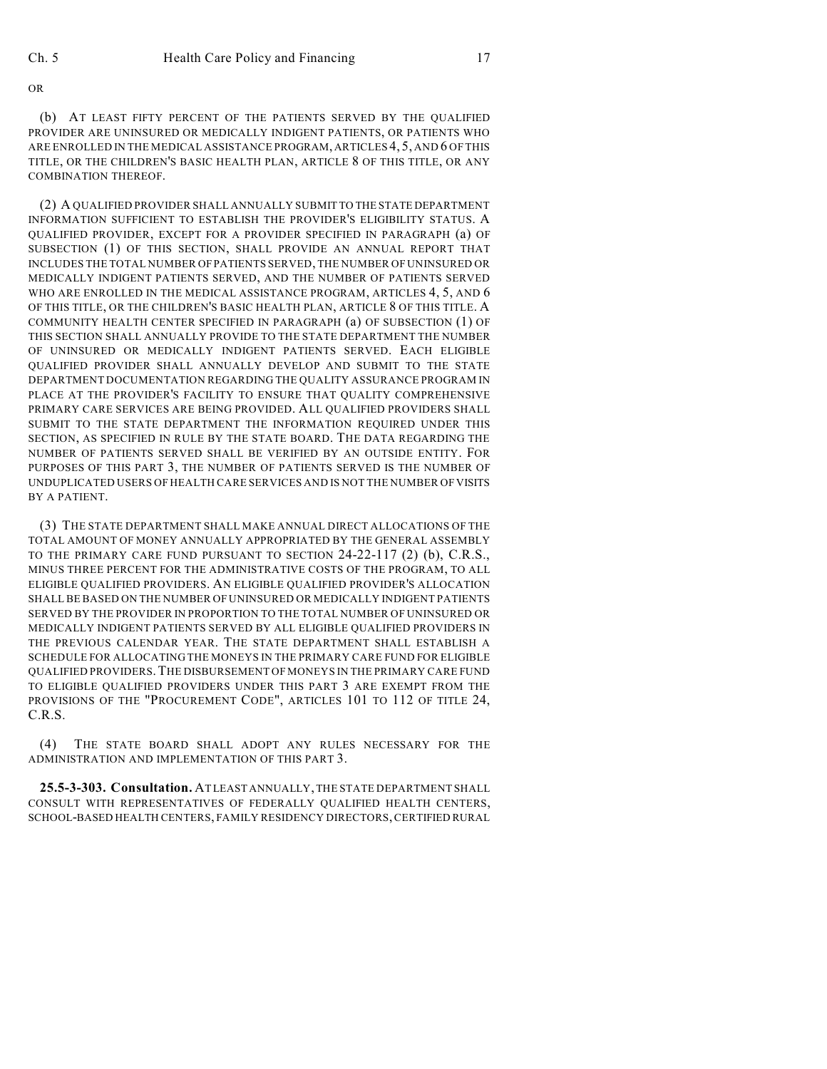OR

(b) AT LEAST FIFTY PERCENT OF THE PATIENTS SERVED BY THE QUALIFIED PROVIDER ARE UNINSURED OR MEDICALLY INDIGENT PATIENTS, OR PATIENTS WHO ARE ENROLLED IN THE MEDICAL ASSISTANCE PROGRAM, ARTICLES 4, 5, AND 6 OF THIS TITLE, OR THE CHILDREN'S BASIC HEALTH PLAN, ARTICLE 8 OF THIS TITLE, OR ANY COMBINATION THEREOF.

(2) A QUALIFIED PROVIDER SHALL ANNUALLY SUBMIT TO THE STATE DEPARTMENT INFORMATION SUFFICIENT TO ESTABLISH THE PROVIDER'S ELIGIBILITY STATUS. A QUALIFIED PROVIDER, EXCEPT FOR A PROVIDER SPECIFIED IN PARAGRAPH (a) OF SUBSECTION (1) OF THIS SECTION, SHALL PROVIDE AN ANNUAL REPORT THAT INCLUDES THE TOTAL NUMBER OFPATIENTS SERVED, THE NUMBER OF UNINSURED OR MEDICALLY INDIGENT PATIENTS SERVED, AND THE NUMBER OF PATIENTS SERVED WHO ARE ENROLLED IN THE MEDICAL ASSISTANCE PROGRAM, ARTICLES 4, 5, AND 6 OF THIS TITLE, OR THE CHILDREN'S BASIC HEALTH PLAN, ARTICLE 8 OF THIS TITLE. A COMMUNITY HEALTH CENTER SPECIFIED IN PARAGRAPH (a) OF SUBSECTION (1) OF THIS SECTION SHALL ANNUALLY PROVIDE TO THE STATE DEPARTMENT THE NUMBER OF UNINSURED OR MEDICALLY INDIGENT PATIENTS SERVED. EACH ELIGIBLE QUALIFIED PROVIDER SHALL ANNUALLY DEVELOP AND SUBMIT TO THE STATE DEPARTMENT DOCUMENTATION REGARDING THE QUALITY ASSURANCE PROGRAM IN PLACE AT THE PROVIDER'S FACILITY TO ENSURE THAT QUALITY COMPREHENSIVE PRIMARY CARE SERVICES ARE BEING PROVIDED. ALL QUALIFIED PROVIDERS SHALL SUBMIT TO THE STATE DEPARTMENT THE INFORMATION REQUIRED UNDER THIS SECTION, AS SPECIFIED IN RULE BY THE STATE BOARD. THE DATA REGARDING THE NUMBER OF PATIENTS SERVED SHALL BE VERIFIED BY AN OUTSIDE ENTITY. FOR PURPOSES OF THIS PART 3, THE NUMBER OF PATIENTS SERVED IS THE NUMBER OF UNDUPLICATED USERS OF HEALTH CARE SERVICES AND IS NOT THE NUMBER OF VISITS BY A PATIENT.

(3) THE STATE DEPARTMENT SHALL MAKE ANNUAL DIRECT ALLOCATIONS OF THE TOTAL AMOUNT OF MONEY ANNUALLY APPROPRIATED BY THE GENERAL ASSEMBLY TO THE PRIMARY CARE FUND PURSUANT TO SECTION 24-22-117 (2) (b), C.R.S., MINUS THREE PERCENT FOR THE ADMINISTRATIVE COSTS OF THE PROGRAM, TO ALL ELIGIBLE QUALIFIED PROVIDERS. AN ELIGIBLE QUALIFIED PROVIDER'S ALLOCATION SHALL BE BASED ON THE NUMBER OF UNINSURED OR MEDICALLY INDIGENT PATIENTS SERVED BY THE PROVIDER IN PROPORTION TO THE TOTAL NUMBER OF UNINSURED OR MEDICALLY INDIGENT PATIENTS SERVED BY ALL ELIGIBLE QUALIFIED PROVIDERS IN THE PREVIOUS CALENDAR YEAR. THE STATE DEPARTMENT SHALL ESTABLISH A SCHEDULE FOR ALLOCATING THE MONEYS IN THE PRIMARY CARE FUND FOR ELIGIBLE QUALIFIED PROVIDERS.THE DISBURSEMENT OF MONEYS IN THE PRIMARY CARE FUND TO ELIGIBLE QUALIFIED PROVIDERS UNDER THIS PART 3 ARE EXEMPT FROM THE PROVISIONS OF THE "PROCUREMENT CODE", ARTICLES 101 TO 112 OF TITLE 24, C.R.S.

(4) THE STATE BOARD SHALL ADOPT ANY RULES NECESSARY FOR THE ADMINISTRATION AND IMPLEMENTATION OF THIS PART 3.

**25.5-3-303. Consultation.** AT LEAST ANNUALLY, THE STATE DEPARTMENT SHALL CONSULT WITH REPRESENTATIVES OF FEDERALLY QUALIFIED HEALTH CENTERS, SCHOOL-BASED HEALTH CENTERS, FAMILY RESIDENCY DIRECTORS, CERTIFIED RURAL